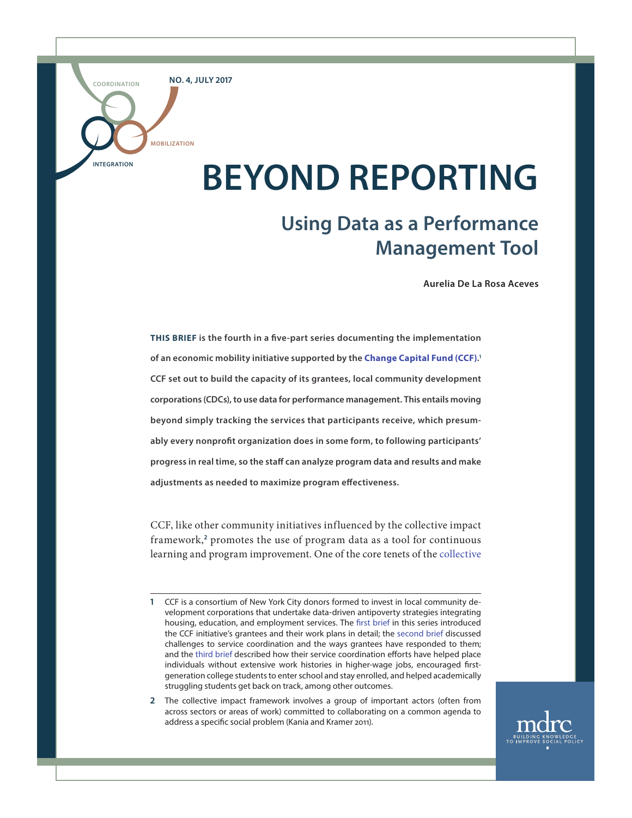**NO. 4, JULY 2017**

**MOBILIZATION**

**INTEGRATION**

**COORDINATION**

# **BEYOND REPORTING**

# **Using Data as a Performance Management Tool**

**Aurelia De La Rosa Aceves**

**THIS BRIEF is the fourth in a five-part series documenting the implementation of an economic mobility initiative supported by the [Change Capital Fund \(CCF\)](http://www.changecapitalfund.org/). 1 CCF set out to build the capacity of its grantees, local community development corporations (CDCs), to use data for performance management. This entails moving beyond simply tracking the services that participants receive, which presumably every nonprofit organization does in some form, to following participants' progress in real time, so the staff can analyze program data and results and make adjustments as needed to maximize program effectiveness.** 

CCF, like other community initiatives influenced by the collective impact framework,<sup>2</sup> promotes the use of program data as a tool for continuous learning and program improvement. One of the core tenets of the [collective](http://fsg.org/publications/collective-impact)

**2** The collective impact framework involves a group of important actors (often from across sectors or areas of work) committed to collaborating on a common agenda to address a specific social problem (Kania and Kramer 2011).



**<sup>1</sup>** CCF is a consortium of New York City donors formed to invest in local community development corporations that undertake data-driven antipoverty strategies integrating housing, education, and employment services. The [first brief](http://www.mdrc.org/publication/promise-community-based-approach-economic-opportunity) in this series introduced the CCF initiative's grantees and their work plans in detail; the [second brief](http://www.mdrc.org/publication/addressing-challenges-community-based-service-coordination) discussed challenges to service coordination and the ways grantees have responded to them; and the [third brief](http://www.mdrc.org/publication/delivering-coordinated-community-based-services-putting-networks-action) described how their service coordination efforts have helped place individuals without extensive work histories in higher-wage jobs, encouraged firstgeneration college students to enter school and stay enrolled, and helped academically struggling students get back on track, among other outcomes.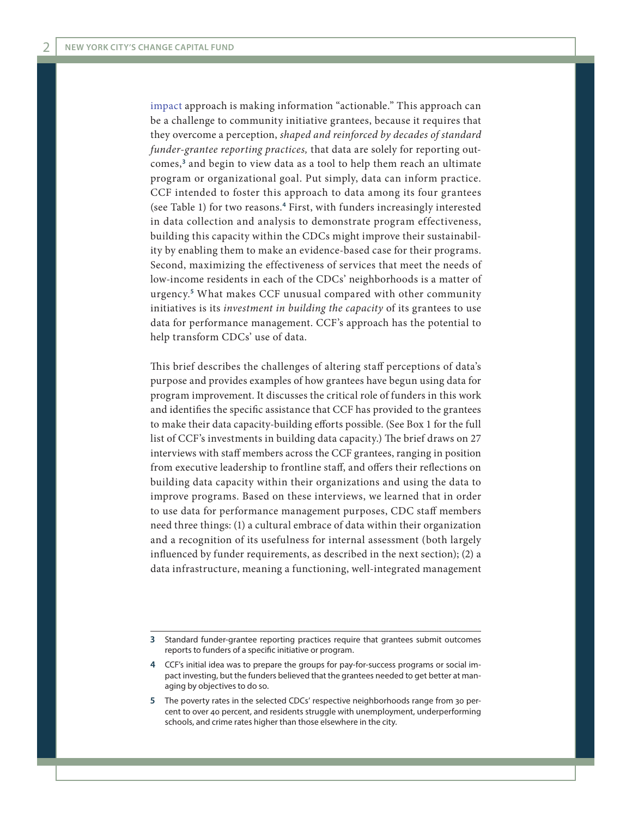[impact](http://fsg.org/publications/collective-impact) approach is making information "actionable." This approach can be a challenge to community initiative grantees, because it requires that they overcome a perception, *shaped and reinforced by decades of standard funder-grantee reporting practices,* that data are solely for reporting outcomes,**<sup>3</sup>** and begin to view data as a tool to help them reach an ultimate program or organizational goal. Put simply, data can inform practice. CCF intended to foster this approach to data among its four grantees (see Table 1) for two reasons.**<sup>4</sup>** First, with funders increasingly interested in data collection and analysis to demonstrate program effectiveness, building this capacity within the CDCs might improve their sustainability by enabling them to make an evidence-based case for their programs. Second, maximizing the effectiveness of services that meet the needs of low-income residents in each of the CDCs' neighborhoods is a matter of urgency.**<sup>5</sup>** What makes CCF unusual compared with other community initiatives is its *investment in building the capacity* of its grantees to use data for performance management. CCF's approach has the potential to help transform CDCs' use of data.

This brief describes the challenges of altering staff perceptions of data's purpose and provides examples of how grantees have begun using data for program improvement. It discusses the critical role of funders in this work and identifies the specific assistance that CCF has provided to the grantees to make their data capacity-building efforts possible. (See Box 1 for the full list of CCF's investments in building data capacity.) The brief draws on 27 interviews with staff members across the CCF grantees, ranging in position from executive leadership to frontline staff, and offers their reflections on building data capacity within their organizations and using the data to improve programs. Based on these interviews, we learned that in order to use data for performance management purposes, CDC staff members need three things: (1) a cultural embrace of data within their organization and a recognition of its usefulness for internal assessment (both largely influenced by funder requirements, as described in the next section); (2) a data infrastructure, meaning a functioning, well-integrated management

**<sup>3</sup>** Standard funder-grantee reporting practices require that grantees submit outcomes reports to funders of a specific initiative or program.

**<sup>4</sup>** CCF's initial idea was to prepare the groups for pay-for-success programs or social impact investing, but the funders believed that the grantees needed to get better at managing by objectives to do so.

**<sup>5</sup>** The poverty rates in the selected CDCs' respective neighborhoods range from 30 percent to over 40 percent, and residents struggle with unemployment, underperforming schools, and crime rates higher than those elsewhere in the city.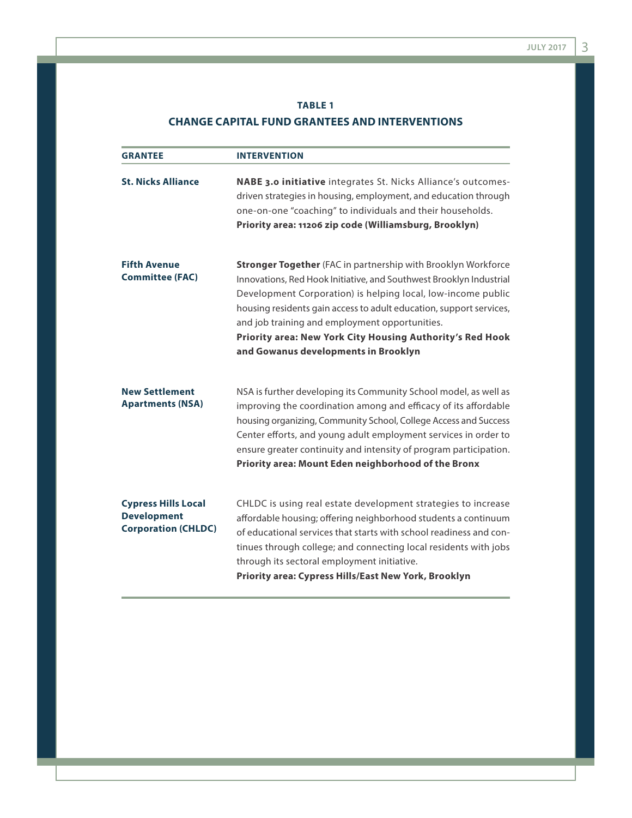# **TABLE 1 CHANGE CAPITAL FUND GRANTEES AND INTERVENTIONS**

| <b>GRANTEE</b>                                                                 | <b>INTERVENTION</b>                                                                                                                                                                                                                                                                                                                                                                                                                       |
|--------------------------------------------------------------------------------|-------------------------------------------------------------------------------------------------------------------------------------------------------------------------------------------------------------------------------------------------------------------------------------------------------------------------------------------------------------------------------------------------------------------------------------------|
| <b>St. Nicks Alliance</b>                                                      | <b>NABE 3.0 initiative</b> integrates St. Nicks Alliance's outcomes-<br>driven strategies in housing, employment, and education through<br>one-on-one "coaching" to individuals and their households.<br>Priority area: 11206 zip code (Williamsburg, Brooklyn)                                                                                                                                                                           |
| <b>Fifth Avenue</b><br><b>Committee (FAC)</b>                                  | <b>Stronger Together</b> (FAC in partnership with Brooklyn Workforce<br>Innovations, Red Hook Initiative, and Southwest Brooklyn Industrial<br>Development Corporation) is helping local, low-income public<br>housing residents gain access to adult education, support services,<br>and job training and employment opportunities.<br>Priority area: New York City Housing Authority's Red Hook<br>and Gowanus developments in Brooklyn |
| <b>New Settlement</b><br><b>Apartments (NSA)</b>                               | NSA is further developing its Community School model, as well as<br>improving the coordination among and efficacy of its affordable<br>housing organizing, Community School, College Access and Success<br>Center efforts, and young adult employment services in order to<br>ensure greater continuity and intensity of program participation.<br>Priority area: Mount Eden neighborhood of the Bronx                                    |
| <b>Cypress Hills Local</b><br><b>Development</b><br><b>Corporation (CHLDC)</b> | CHLDC is using real estate development strategies to increase<br>affordable housing; offering neighborhood students a continuum<br>of educational services that starts with school readiness and con-<br>tinues through college; and connecting local residents with jobs<br>through its sectoral employment initiative.<br>Priority area: Cypress Hills/East New York, Brooklyn                                                          |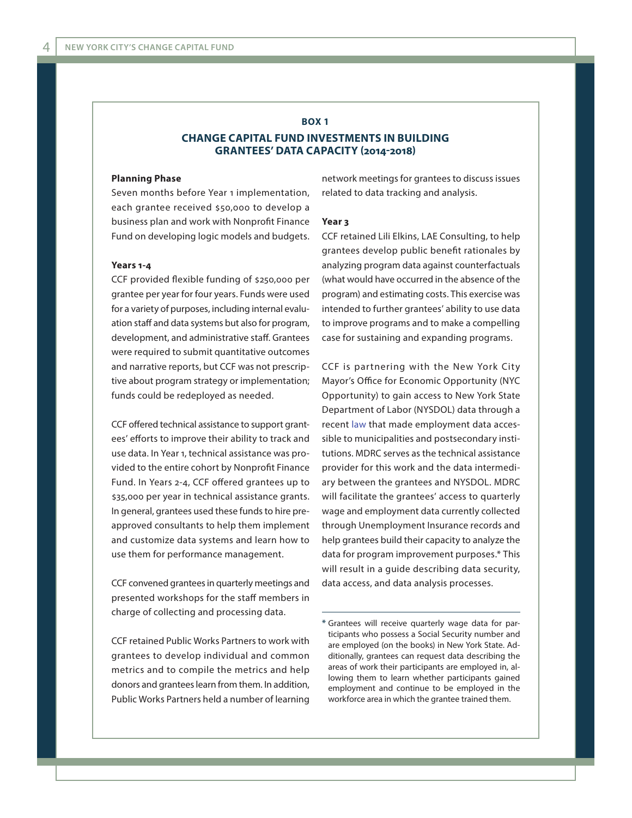#### **BOX 1**

# **CHANGE CAPITAL FUND INVESTMENTS IN BUILDING GRANTEES' DATA CAPACITY (2014-2018)**

#### **Planning Phase**

Seven months before Year 1 implementation, each grantee received \$50,000 to develop a business plan and work with Nonprofit Finance Fund on developing logic models and budgets.

#### **Years 1-4**

CCF provided flexible funding of \$250,000 per grantee per year for four years. Funds were used for a variety of purposes, including internal evaluation staff and data systems but also for program, development, and administrative staff. Grantees were required to submit quantitative outcomes and narrative reports, but CCF was not prescriptive about program strategy or implementation; funds could be redeployed as needed.

CCF offered technical assistance to support grantees' efforts to improve their ability to track and use data. In Year 1, technical assistance was provided to the entire cohort by Nonprofit Finance Fund. In Years 2-4, CCF offered grantees up to \$35,000 per year in technical assistance grants. In general, grantees used these funds to hire preapproved consultants to help them implement and customize data systems and learn how to use them for performance management.

CCF convened grantees in quarterly meetings and presented workshops for the staff members in charge of collecting and processing data.

CCF retained Public Works Partners to work with grantees to develop individual and common metrics and to compile the metrics and help donors and grantees learn from them. In addition, Public Works Partners held a number of learning

network meetings for grantees to discuss issues related to data tracking and analysis.

#### **Year 3**

CCF retained Lili Elkins, LAE Consulting, to help grantees develop public benefit rationales by analyzing program data against counterfactuals (what would have occurred in the absence of the program) and estimating costs. This exercise was intended to further grantees' ability to use data to improve programs and to make a compelling case for sustaining and expanding programs.

CCF is partnering with the New York City Mayor's Office for Economic Opportunity (NYC Opportunity) to gain access to New York State Department of Labor (NYSDOL) data through a recent [law](https://labor.ny.gov/data-sharing/) that made employment data accessible to municipalities and postsecondary institutions. MDRC serves as the technical assistance provider for this work and the data intermediary between the grantees and NYSDOL. MDRC will facilitate the grantees' access to quarterly wage and employment data currently collected through Unemployment Insurance records and help grantees build their capacity to analyze the data for program improvement purposes.\* This will result in a guide describing data security, data access, and data analysis processes.

**<sup>\*</sup>** Grantees will receive quarterly wage data for participants who possess a Social Security number and are employed (on the books) in New York State. Additionally, grantees can request data describing the areas of work their participants are employed in, allowing them to learn whether participants gained employment and continue to be employed in the workforce area in which the grantee trained them.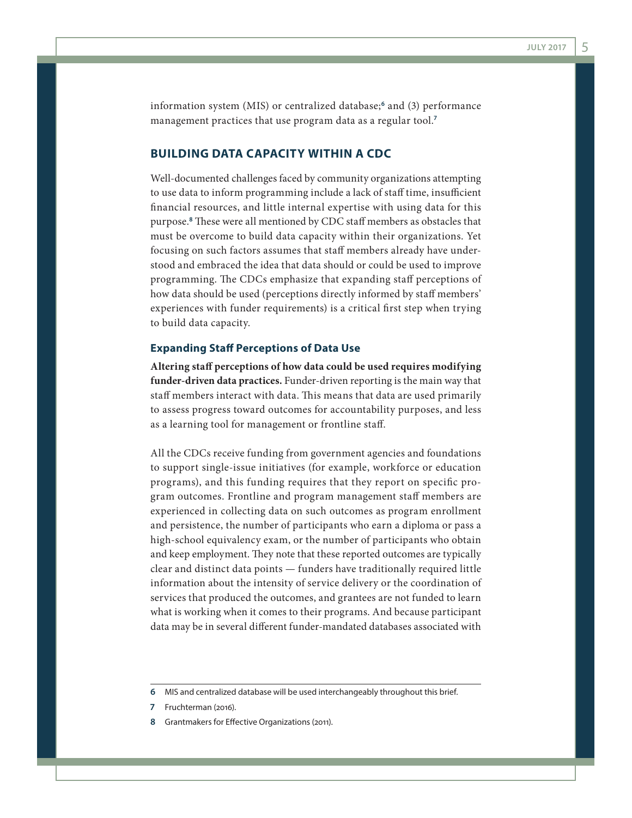information system (MIS) or centralized database;**<sup>6</sup>** and (3) performance management practices that use program data as a regular tool.**<sup>7</sup>**

# **BUILDING DATA CAPACITY WITHIN A CDC**

Well-documented challenges faced by community organizations attempting to use data to inform programming include a lack of staff time, insufficient financial resources, and little internal expertise with using data for this purpose.**<sup>8</sup>** These were all mentioned by CDC staff members as obstacles that must be overcome to build data capacity within their organizations. Yet focusing on such factors assumes that staff members already have understood and embraced the idea that data should or could be used to improve programming. The CDCs emphasize that expanding staff perceptions of how data should be used (perceptions directly informed by staff members' experiences with funder requirements) is a critical first step when trying to build data capacity.

#### **Expanding Staff Perceptions of Data Use**

**Altering staff perceptions of how data could be used requires modifying funder-driven data practices.** Funder-driven reporting is the main way that staff members interact with data. This means that data are used primarily to assess progress toward outcomes for accountability purposes, and less as a learning tool for management or frontline staff.

All the CDCs receive funding from government agencies and foundations to support single-issue initiatives (for example, workforce or education programs), and this funding requires that they report on specific program outcomes. Frontline and program management staff members are experienced in collecting data on such outcomes as program enrollment and persistence, the number of participants who earn a diploma or pass a high-school equivalency exam, or the number of participants who obtain and keep employment. They note that these reported outcomes are typically clear and distinct data points — funders have traditionally required little information about the intensity of service delivery or the coordination of services that produced the outcomes, and grantees are not funded to learn what is working when it comes to their programs. And because participant data may be in several different funder-mandated databases associated with

- **7** Fruchterman (2016).
- **8** Grantmakers for Effective Organizations (2011).

**<sup>6</sup>** MIS and centralized database will be used interchangeably throughout this brief.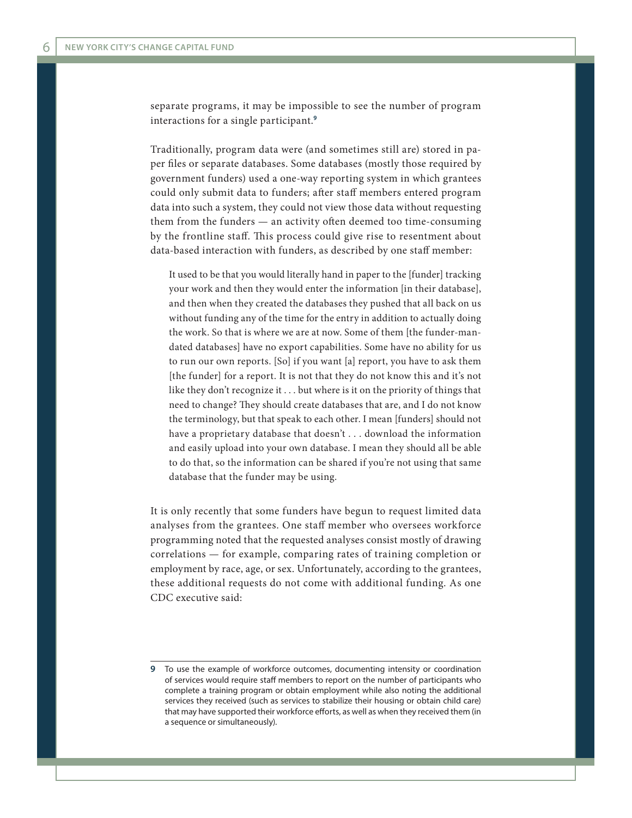separate programs, it may be impossible to see the number of program interactions for a single participant.**<sup>9</sup>**

Traditionally, program data were (and sometimes still are) stored in paper files or separate databases. Some databases (mostly those required by government funders) used a one-way reporting system in which grantees could only submit data to funders; after staff members entered program data into such a system, they could not view those data without requesting them from the funders — an activity often deemed too time-consuming by the frontline staff. This process could give rise to resentment about data-based interaction with funders, as described by one staff member:

It used to be that you would literally hand in paper to the [funder] tracking your work and then they would enter the information [in their database], and then when they created the databases they pushed that all back on us without funding any of the time for the entry in addition to actually doing the work. So that is where we are at now. Some of them [the funder-mandated databases] have no export capabilities. Some have no ability for us to run our own reports. [So] if you want [a] report, you have to ask them [the funder] for a report. It is not that they do not know this and it's not like they don't recognize it . . . but where is it on the priority of things that need to change? They should create databases that are, and I do not know the terminology, but that speak to each other. I mean [funders] should not have a proprietary database that doesn't . . . download the information and easily upload into your own database. I mean they should all be able to do that, so the information can be shared if you're not using that same database that the funder may be using.

It is only recently that some funders have begun to request limited data analyses from the grantees. One staff member who oversees workforce programming noted that the requested analyses consist mostly of drawing correlations — for example, comparing rates of training completion or employment by race, age, or sex. Unfortunately, according to the grantees, these additional requests do not come with additional funding. As one CDC executive said:

**<sup>9</sup>** To use the example of workforce outcomes, documenting intensity or coordination of services would require staff members to report on the number of participants who complete a training program or obtain employment while also noting the additional services they received (such as services to stabilize their housing or obtain child care) that may have supported their workforce efforts, as well as when they received them (in a sequence or simultaneously).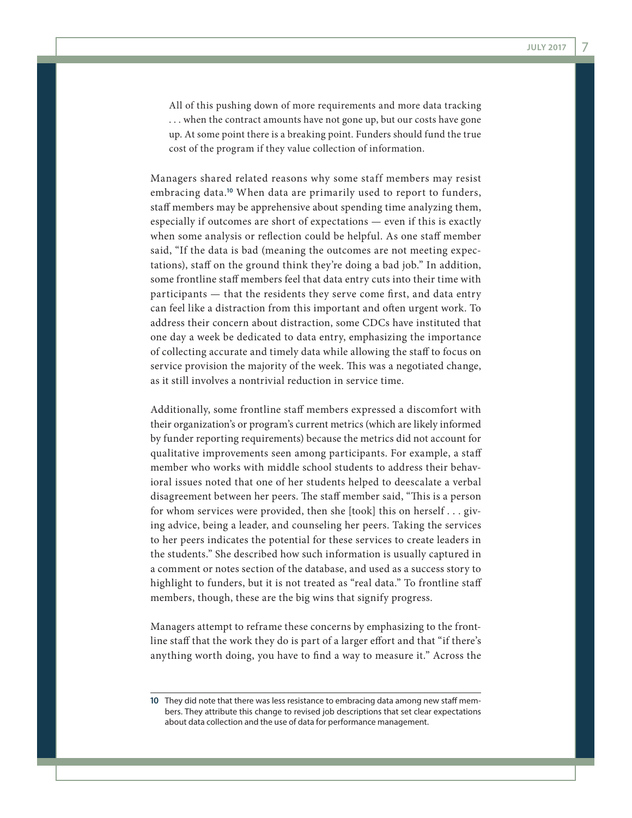All of this pushing down of more requirements and more data tracking . . . when the contract amounts have not gone up, but our costs have gone up. At some point there is a breaking point. Funders should fund the true cost of the program if they value collection of information.

Managers shared related reasons why some staff members may resist embracing data.**<sup>10</sup>** When data are primarily used to report to funders, staff members may be apprehensive about spending time analyzing them, especially if outcomes are short of expectations — even if this is exactly when some analysis or reflection could be helpful. As one staff member said, "If the data is bad (meaning the outcomes are not meeting expectations), staff on the ground think they're doing a bad job." In addition, some frontline staff members feel that data entry cuts into their time with participants — that the residents they serve come first, and data entry can feel like a distraction from this important and often urgent work. To address their concern about distraction, some CDCs have instituted that one day a week be dedicated to data entry, emphasizing the importance of collecting accurate and timely data while allowing the staff to focus on service provision the majority of the week. This was a negotiated change, as it still involves a nontrivial reduction in service time.

Additionally, some frontline staff members expressed a discomfort with their organization's or program's current metrics (which are likely informed by funder reporting requirements) because the metrics did not account for qualitative improvements seen among participants. For example, a staff member who works with middle school students to address their behavioral issues noted that one of her students helped to deescalate a verbal disagreement between her peers. The staff member said, "This is a person for whom services were provided, then she [took] this on herself . . . giving advice, being a leader, and counseling her peers. Taking the services to her peers indicates the potential for these services to create leaders in the students." She described how such information is usually captured in a comment or notes section of the database, and used as a success story to highlight to funders, but it is not treated as "real data." To frontline staff members, though, these are the big wins that signify progress.

Managers attempt to reframe these concerns by emphasizing to the frontline staff that the work they do is part of a larger effort and that "if there's anything worth doing, you have to find a way to measure it." Across the

**<sup>10</sup>** They did note that there was less resistance to embracing data among new staff members. They attribute this change to revised job descriptions that set clear expectations about data collection and the use of data for performance management.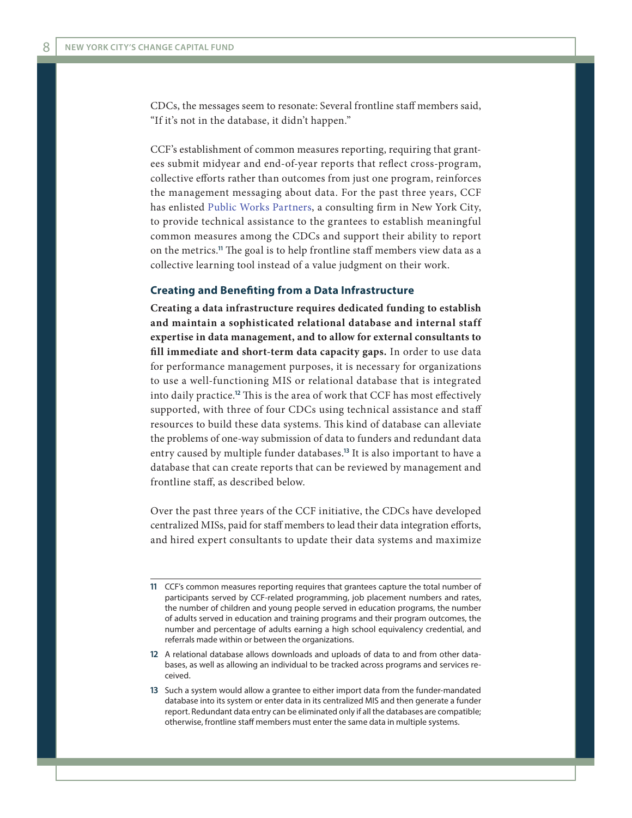CDCs, the messages seem to resonate: Several frontline staff members said, "If it's not in the database, it didn't happen."

CCF's establishment of common measures reporting, requiring that grantees submit midyear and end-of-year reports that reflect cross-program, collective efforts rather than outcomes from just one program, reinforces the management messaging about data. For the past three years, CCF has enlisted [Public Works Partners](http://www.publicworkspartners.com/), a consulting firm in New York City, to provide technical assistance to the grantees to establish meaningful common measures among the CDCs and support their ability to report on the metrics.**<sup>11</sup>** The goal is to help frontline staff members view data as a collective learning tool instead of a value judgment on their work.

#### **Creating and Benefiting from a Data Infrastructure**

**Creating a data infrastructure requires dedicated funding to establish and maintain a sophisticated relational database and internal staff expertise in data management, and to allow for external consultants to fill immediate and short-term data capacity gaps.** In order to use data for performance management purposes, it is necessary for organizations to use a well-functioning MIS or relational database that is integrated into daily practice.**<sup>12</sup>** This is the area of work that CCF has most effectively supported, with three of four CDCs using technical assistance and staff resources to build these data systems. This kind of database can alleviate the problems of one-way submission of data to funders and redundant data entry caused by multiple funder databases.**<sup>13</sup>** It is also important to have a database that can create reports that can be reviewed by management and frontline staff, as described below.

Over the past three years of the CCF initiative, the CDCs have developed centralized MISs, paid for staff members to lead their data integration efforts, and hired expert consultants to update their data systems and maximize

**<sup>11</sup>** CCF's common measures reporting requires that grantees capture the total number of participants served by CCF-related programming, job placement numbers and rates, the number of children and young people served in education programs, the number of adults served in education and training programs and their program outcomes, the number and percentage of adults earning a high school equivalency credential, and referrals made within or between the organizations.

**<sup>12</sup>** A relational database allows downloads and uploads of data to and from other databases, as well as allowing an individual to be tracked across programs and services received.

**<sup>13</sup>** Such a system would allow a grantee to either import data from the funder-mandated database into its system or enter data in its centralized MIS and then generate a funder report. Redundant data entry can be eliminated only if all the databases are compatible; otherwise, frontline staff members must enter the same data in multiple systems.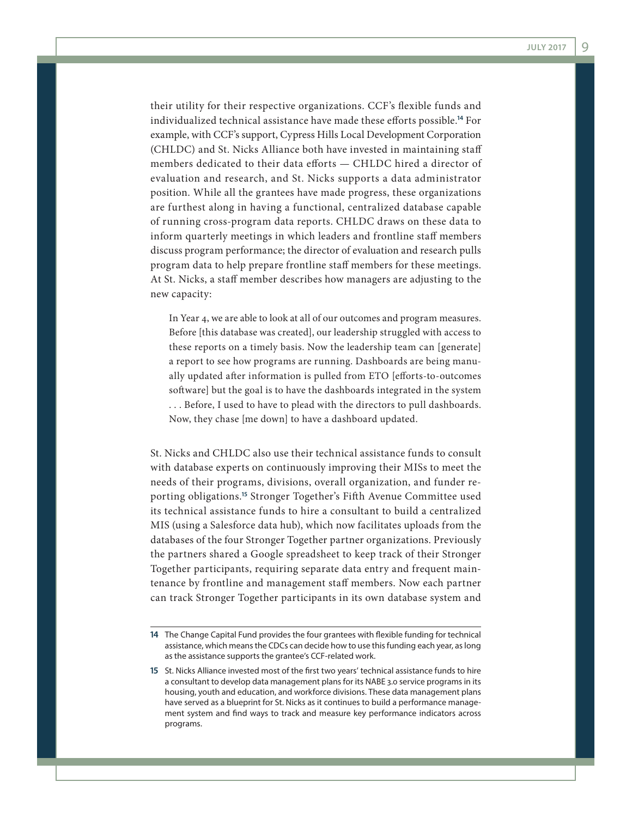their utility for their respective organizations. CCF's flexible funds and individualized technical assistance have made these efforts possible.**<sup>14</sup>** For example, with CCF's support, Cypress Hills Local Development Corporation (CHLDC) and St. Nicks Alliance both have invested in maintaining staff members dedicated to their data efforts — CHLDC hired a director of evaluation and research, and St. Nicks supports a data administrator position. While all the grantees have made progress, these organizations are furthest along in having a functional, centralized database capable of running cross-program data reports. CHLDC draws on these data to inform quarterly meetings in which leaders and frontline staff members discuss program performance; the director of evaluation and research pulls program data to help prepare frontline staff members for these meetings. At St. Nicks, a staff member describes how managers are adjusting to the new capacity:

In Year 4, we are able to look at all of our outcomes and program measures. Before [this database was created], our leadership struggled with access to these reports on a timely basis. Now the leadership team can [generate] a report to see how programs are running. Dashboards are being manually updated after information is pulled from ETO [efforts-to-outcomes software] but the goal is to have the dashboards integrated in the system . . . Before, I used to have to plead with the directors to pull dashboards. Now, they chase [me down] to have a dashboard updated.

St. Nicks and CHLDC also use their technical assistance funds to consult with database experts on continuously improving their MISs to meet the needs of their programs, divisions, overall organization, and funder reporting obligations.**<sup>15</sup>** Stronger Together's Fifth Avenue Committee used its technical assistance funds to hire a consultant to build a centralized MIS (using a Salesforce data hub), which now facilitates uploads from the databases of the four Stronger Together partner organizations. Previously the partners shared a Google spreadsheet to keep track of their Stronger Together participants, requiring separate data entry and frequent maintenance by frontline and management staff members. Now each partner can track Stronger Together participants in its own database system and

**<sup>14</sup>** The Change Capital Fund provides the four grantees with flexible funding for technical assistance, which means the CDCs can decide how to use this funding each year, as long as the assistance supports the grantee's CCF-related work.

**<sup>15</sup>** St. Nicks Alliance invested most of the first two years' technical assistance funds to hire a consultant to develop data management plans for its NABE 3.0 service programs in its housing, youth and education, and workforce divisions. These data management plans have served as a blueprint for St. Nicks as it continues to build a performance management system and find ways to track and measure key performance indicators across programs.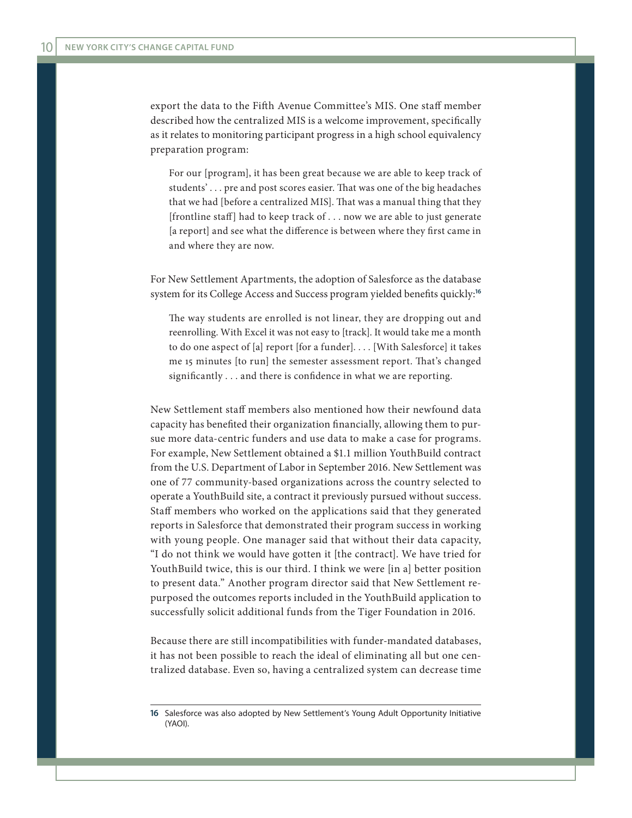export the data to the Fifth Avenue Committee's MIS. One staff member described how the centralized MIS is a welcome improvement, specifically as it relates to monitoring participant progress in a high school equivalency preparation program:

For our [program], it has been great because we are able to keep track of students' . . . pre and post scores easier. That was one of the big headaches that we had [before a centralized MIS]. That was a manual thing that they [frontline staff] had to keep track of . . . now we are able to just generate [a report] and see what the difference is between where they first came in and where they are now.

For New Settlement Apartments, the adoption of Salesforce as the database system for its College Access and Success program yielded benefits quickly:**<sup>16</sup>**

The way students are enrolled is not linear, they are dropping out and reenrolling. With Excel it was not easy to [track]. It would take me a month to do one aspect of [a] report [for a funder]. . . . [With Salesforce] it takes me 15 minutes [to run] the semester assessment report. That's changed significantly . . . and there is confidence in what we are reporting.

New Settlement staff members also mentioned how their newfound data capacity has benefited their organization financially, allowing them to pursue more data-centric funders and use data to make a case for programs. For example, New Settlement obtained a \$1.1 million YouthBuild contract from the U.S. Department of Labor in September 2016. New Settlement was one of 77 community-based organizations across the country selected to operate a YouthBuild site, a contract it previously pursued without success. Staff members who worked on the applications said that they generated reports in Salesforce that demonstrated their program success in working with young people. One manager said that without their data capacity, "I do not think we would have gotten it [the contract]. We have tried for YouthBuild twice, this is our third. I think we were [in a] better position to present data." Another program director said that New Settlement repurposed the outcomes reports included in the YouthBuild application to successfully solicit additional funds from the Tiger Foundation in 2016.

Because there are still incompatibilities with funder-mandated databases, it has not been possible to reach the ideal of eliminating all but one centralized database. Even so, having a centralized system can decrease time

**<sup>16</sup>** Salesforce was also adopted by New Settlement's Young Adult Opportunity Initiative (YAOI).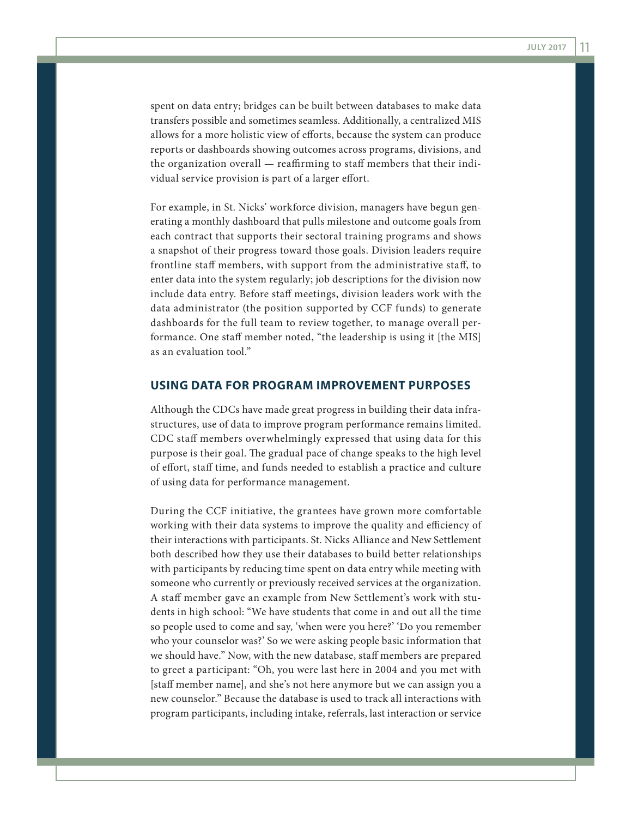spent on data entry; bridges can be built between databases to make data transfers possible and sometimes seamless. Additionally, a centralized MIS allows for a more holistic view of efforts, because the system can produce reports or dashboards showing outcomes across programs, divisions, and the organization overall — reaffirming to staff members that their individual service provision is part of a larger effort.

For example, in St. Nicks' workforce division, managers have begun generating a monthly dashboard that pulls milestone and outcome goals from each contract that supports their sectoral training programs and shows a snapshot of their progress toward those goals. Division leaders require frontline staff members, with support from the administrative staff, to enter data into the system regularly; job descriptions for the division now include data entry. Before staff meetings, division leaders work with the data administrator (the position supported by CCF funds) to generate dashboards for the full team to review together, to manage overall performance. One staff member noted, "the leadership is using it [the MIS] as an evaluation tool."

#### **USING DATA FOR PROGRAM IMPROVEMENT PURPOSES**

Although the CDCs have made great progress in building their data infrastructures, use of data to improve program performance remains limited. CDC staff members overwhelmingly expressed that using data for this purpose is their goal. The gradual pace of change speaks to the high level of effort, staff time, and funds needed to establish a practice and culture of using data for performance management.

During the CCF initiative, the grantees have grown more comfortable working with their data systems to improve the quality and efficiency of their interactions with participants. St. Nicks Alliance and New Settlement both described how they use their databases to build better relationships with participants by reducing time spent on data entry while meeting with someone who currently or previously received services at the organization. A staff member gave an example from New Settlement's work with students in high school: "We have students that come in and out all the time so people used to come and say, 'when were you here?' 'Do you remember who your counselor was?' So we were asking people basic information that we should have." Now, with the new database, staff members are prepared to greet a participant: "Oh, you were last here in 2004 and you met with [staff member name], and she's not here anymore but we can assign you a new counselor." Because the database is used to track all interactions with program participants, including intake, referrals, last interaction or service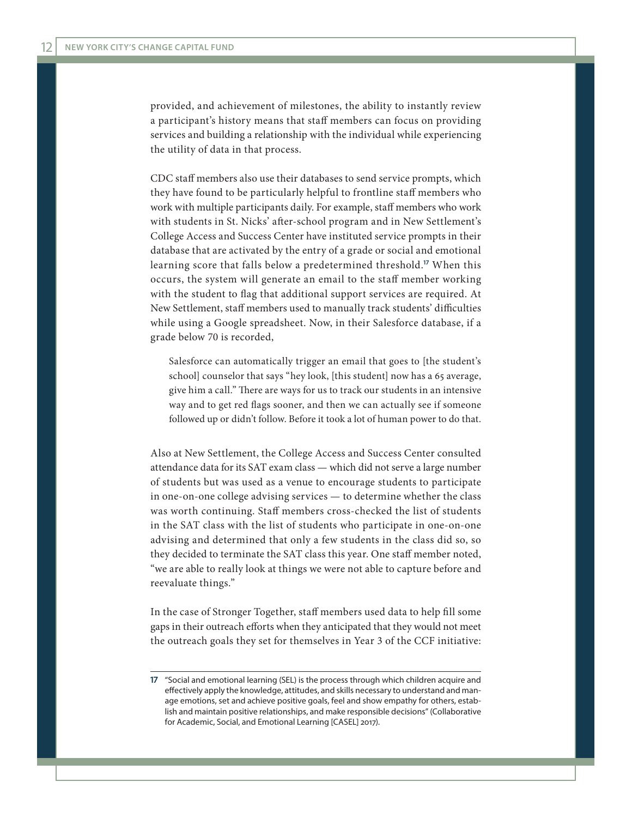provided, and achievement of milestones, the ability to instantly review a participant's history means that staff members can focus on providing services and building a relationship with the individual while experiencing the utility of data in that process.

CDC staff members also use their databases to send service prompts, which they have found to be particularly helpful to frontline staff members who work with multiple participants daily. For example, staff members who work with students in St. Nicks' after-school program and in New Settlement's College Access and Success Center have instituted service prompts in their database that are activated by the entry of a grade or social and emotional learning score that falls below a predetermined threshold.**<sup>17</sup>** When this occurs, the system will generate an email to the staff member working with the student to flag that additional support services are required. At New Settlement, staff members used to manually track students' difficulties while using a Google spreadsheet. Now, in their Salesforce database, if a grade below 70 is recorded,

Salesforce can automatically trigger an email that goes to [the student's school] counselor that says "hey look, [this student] now has a 65 average, give him a call." There are ways for us to track our students in an intensive way and to get red flags sooner, and then we can actually see if someone followed up or didn't follow. Before it took a lot of human power to do that.

Also at New Settlement, the College Access and Success Center consulted attendance data for its SAT exam class — which did not serve a large number of students but was used as a venue to encourage students to participate in one-on-one college advising services — to determine whether the class was worth continuing. Staff members cross-checked the list of students in the SAT class with the list of students who participate in one-on-one advising and determined that only a few students in the class did so, so they decided to terminate the SAT class this year. One staff member noted, "we are able to really look at things we were not able to capture before and reevaluate things."

In the case of Stronger Together, staff members used data to help fill some gaps in their outreach efforts when they anticipated that they would not meet the outreach goals they set for themselves in Year 3 of the CCF initiative:

**<sup>17</sup>** "Social and emotional learning (SEL) is the process through which children acquire and effectively apply the knowledge, attitudes, and skills necessary to understand and manage emotions, set and achieve positive goals, feel and show empathy for others, establish and maintain positive relationships, and make responsible decisions" (Collaborative for Academic, Social, and Emotional Learning [CASEL] 2017).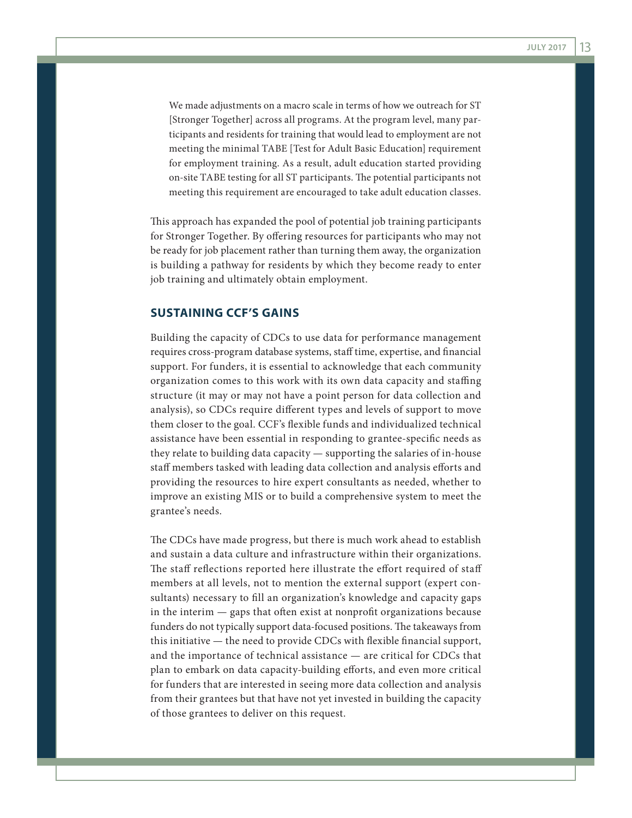We made adjustments on a macro scale in terms of how we outreach for ST [Stronger Together] across all programs. At the program level, many participants and residents for training that would lead to employment are not meeting the minimal TABE [Test for Adult Basic Education] requirement for employment training. As a result, adult education started providing on-site TABE testing for all ST participants. The potential participants not meeting this requirement are encouraged to take adult education classes.

This approach has expanded the pool of potential job training participants for Stronger Together. By offering resources for participants who may not be ready for job placement rather than turning them away, the organization is building a pathway for residents by which they become ready to enter job training and ultimately obtain employment.

# **SUSTAINING CCF'S GAINS**

Building the capacity of CDCs to use data for performance management requires cross-program database systems, staff time, expertise, and financial support. For funders, it is essential to acknowledge that each community organization comes to this work with its own data capacity and staffing structure (it may or may not have a point person for data collection and analysis), so CDCs require different types and levels of support to move them closer to the goal. CCF's flexible funds and individualized technical assistance have been essential in responding to grantee-specific needs as they relate to building data capacity — supporting the salaries of in-house staff members tasked with leading data collection and analysis efforts and providing the resources to hire expert consultants as needed, whether to improve an existing MIS or to build a comprehensive system to meet the grantee's needs.

The CDCs have made progress, but there is much work ahead to establish and sustain a data culture and infrastructure within their organizations. The staff reflections reported here illustrate the effort required of staff members at all levels, not to mention the external support (expert consultants) necessary to fill an organization's knowledge and capacity gaps in the interim — gaps that often exist at nonprofit organizations because funders do not typically support data-focused positions. The takeaways from this initiative — the need to provide CDCs with flexible financial support, and the importance of technical assistance — are critical for CDCs that plan to embark on data capacity-building efforts, and even more critical for funders that are interested in seeing more data collection and analysis from their grantees but that have not yet invested in building the capacity of those grantees to deliver on this request.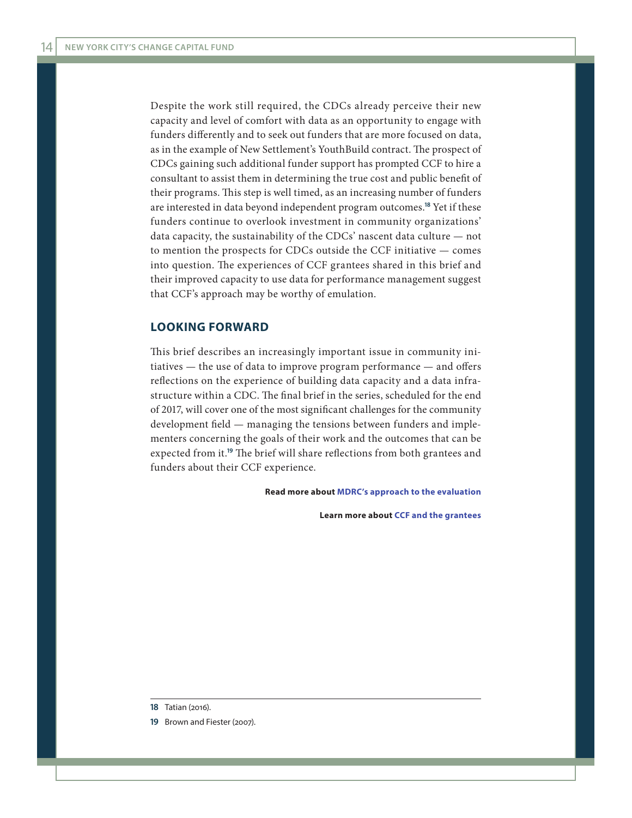Despite the work still required, the CDCs already perceive their new capacity and level of comfort with data as an opportunity to engage with funders differently and to seek out funders that are more focused on data, as in the example of New Settlement's YouthBuild contract. The prospect of CDCs gaining such additional funder support has prompted CCF to hire a consultant to assist them in determining the true cost and public benefit of their programs. This step is well timed, as an increasing number of funders are interested in data beyond independent program outcomes.**<sup>18</sup>** Yet if these funders continue to overlook investment in community organizations' data capacity, the sustainability of the CDCs' nascent data culture — not to mention the prospects for CDCs outside the CCF initiative — comes into question. The experiences of CCF grantees shared in this brief and their improved capacity to use data for performance management suggest that CCF's approach may be worthy of emulation.

#### **LOOKING FORWARD**

This brief describes an increasingly important issue in community initiatives — the use of data to improve program performance — and offers reflections on the experience of building data capacity and a data infrastructure within a CDC. The final brief in the series, scheduled for the end of 2017, will cover one of the most significant challenges for the community development field — managing the tensions between funders and implementers concerning the goals of their work and the outcomes that can be expected from it.**<sup>19</sup>** The brief will share reflections from both grantees and funders about their CCF experience.

**Read more about [MDRC's approach to the evaluation](http://www.mdrc.org/project/nyc-change-capital-fund-s-economic-mobility-initiative#overview)**

**Learn more about [CCF and the grantees](http://www.changecapitalfund.org/)**

**19** Brown and Fiester (2007).

**<sup>18</sup>** Tatian (2016).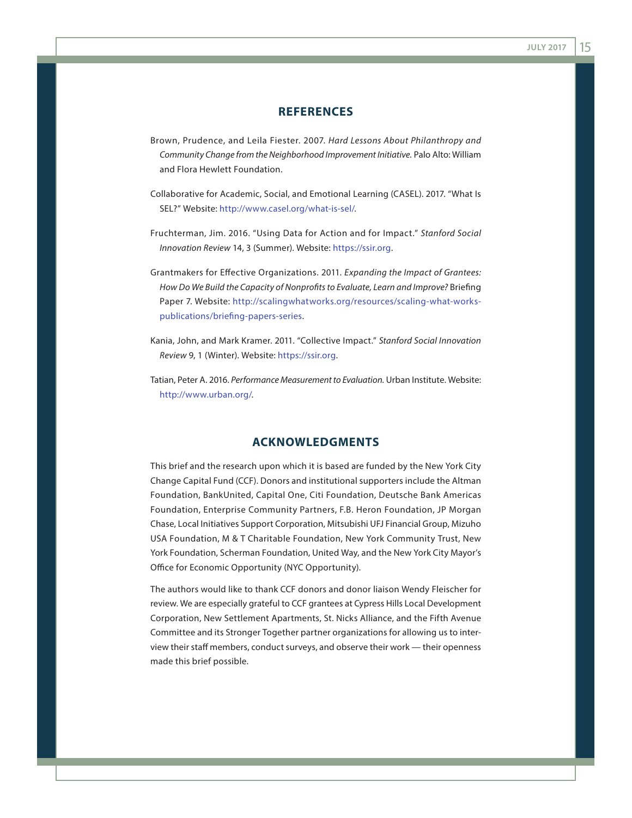# **REFERENCES**

- Brown, Prudence, and Leila Fiester. 2007. *Hard Lessons About Philanthropy and Community Change from the Neighborhood Improvement Initiative.* Palo Alto: William and Flora Hewlett Foundation.
- Collaborative for Academic, Social, and Emotional Learning (CASEL). 2017. "What Is SEL?" Website: <http://www.casel.org/what-is-sel/>.
- Fruchterman, Jim. 2016. "Using Data for Action and for Impact." *Stanford Social Innovation Review* 14, 3 (Summer). Website: <https://ssir.org>.
- Grantmakers for Effective Organizations. 2011. *Expanding the Impact of Grantees: How Do We Build the Capacity of Nonprofits to Evaluate, Learn and Improve?* Briefing Paper 7. Website: [http://scalingwhatworks.org/resources/scaling-what-works](http://scalingwhatworks.org/resources/scaling-what-works-publications/briefing-papers-series)[publications/briefing-papers-series.](http://scalingwhatworks.org/resources/scaling-what-works-publications/briefing-papers-series)
- Kania, John, and Mark Kramer. 2011. "Collective Impact." *Stanford Social Innovation Review* 9, 1 (Winter). Website: [https://ssir.org.](https://ssir.org)
- Tatian, Peter A. 2016. *Performance Measurement to Evaluation.* Urban Institute. Website: [http://www.urban.org/.](http://www.urban.org/)

## **ACKNOWLEDGMENTS**

This brief and the research upon which it is based are funded by the New York City Change Capital Fund (CCF). Donors and institutional supporters include the Altman Foundation, BankUnited, Capital One, Citi Foundation, Deutsche Bank Americas Foundation, Enterprise Community Partners, F.B. Heron Foundation, JP Morgan Chase, Local Initiatives Support Corporation, Mitsubishi UFJ Financial Group, Mizuho USA Foundation, M & T Charitable Foundation, New York Community Trust, New York Foundation, Scherman Foundation, United Way, and the New York City Mayor's Office for Economic Opportunity (NYC Opportunity).

The authors would like to thank CCF donors and donor liaison Wendy Fleischer for review. We are especially grateful to CCF grantees at Cypress Hills Local Development Corporation, New Settlement Apartments, St. Nicks Alliance, and the Fifth Avenue Committee and its Stronger Together partner organizations for allowing us to interview their staff members, conduct surveys, and observe their work — their openness made this brief possible.